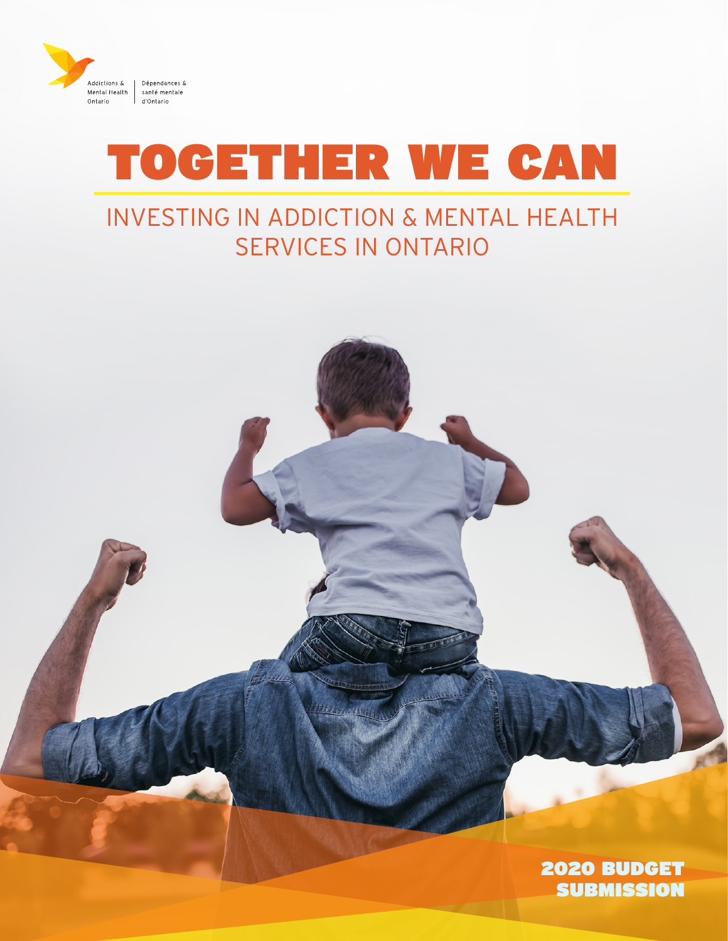

## TOGETHER WE CAN

### INVESTING IN ADDICTION & MENTAL HEALTH SERVICES IN ONTARIO

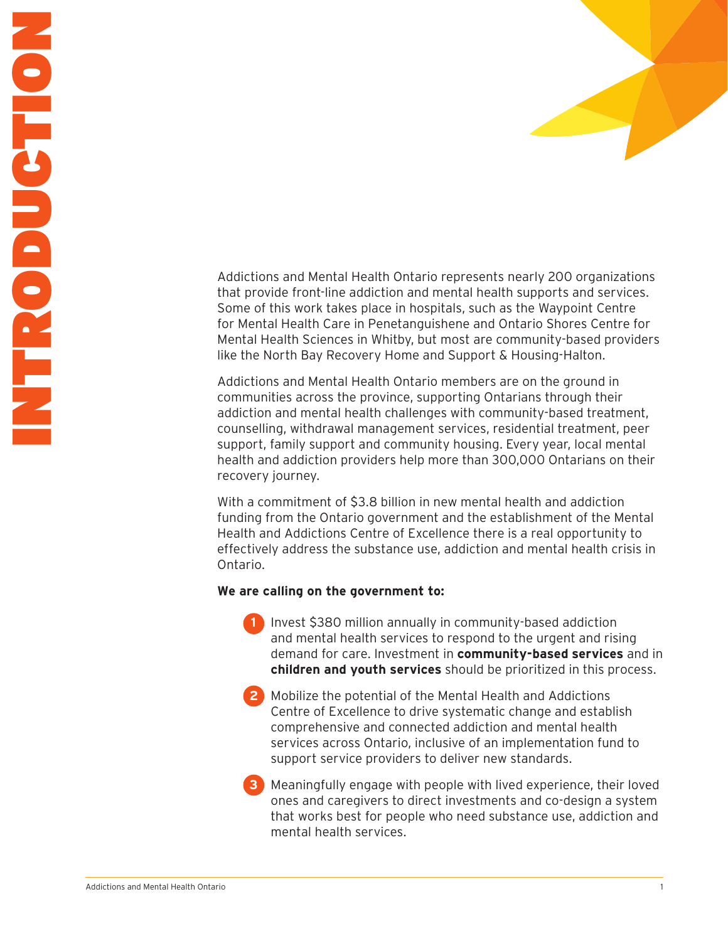Addictions and Mental Health Ontario represents nearly 200 organizations that provide front-line addiction and mental health supports and services. Some of this work takes place in hospitals, such as the Waypoint Centre for Mental Health Care in Penetanguishene and Ontario Shores Centre for Mental Health Sciences in Whitby, but most are community-based providers like the North Bay Recovery Home and Support & Housing-Halton.

Addictions and Mental Health Ontario members are on the ground in communities across the province, supporting Ontarians through their addiction and mental health challenges with community-based treatment, counselling, withdrawal management services, residential treatment, peer support, family support and community housing. Every year, local mental health and addiction providers help more than 300,000 Ontarians on their recovery journey.

With a commitment of \$3.8 billion in new mental health and addiction funding from the Ontario government and the establishment of the Mental Health and Addictions Centre of Excellence there is a real opportunity to effectively address the substance use, addiction and mental health crisis in Ontario.

#### **We are calling on the government to:**

**1** Invest \$380 million annually in community-based addiction and mental health services to respond to the urgent and rising demand for care. Investment in **community-based services** and in **children and youth services** should be prioritized in this process.

**2** Mobilize the potential of the Mental Health and Addictions Centre of Excellence to drive systematic change and establish comprehensive and connected addiction and mental health services across Ontario, inclusive of an implementation fund to support service providers to deliver new standards.

**3** Meaningfully engage with people with lived experience, their loved ones and caregivers to direct investments and co-design a system that works best for people who need substance use, addiction and mental health services.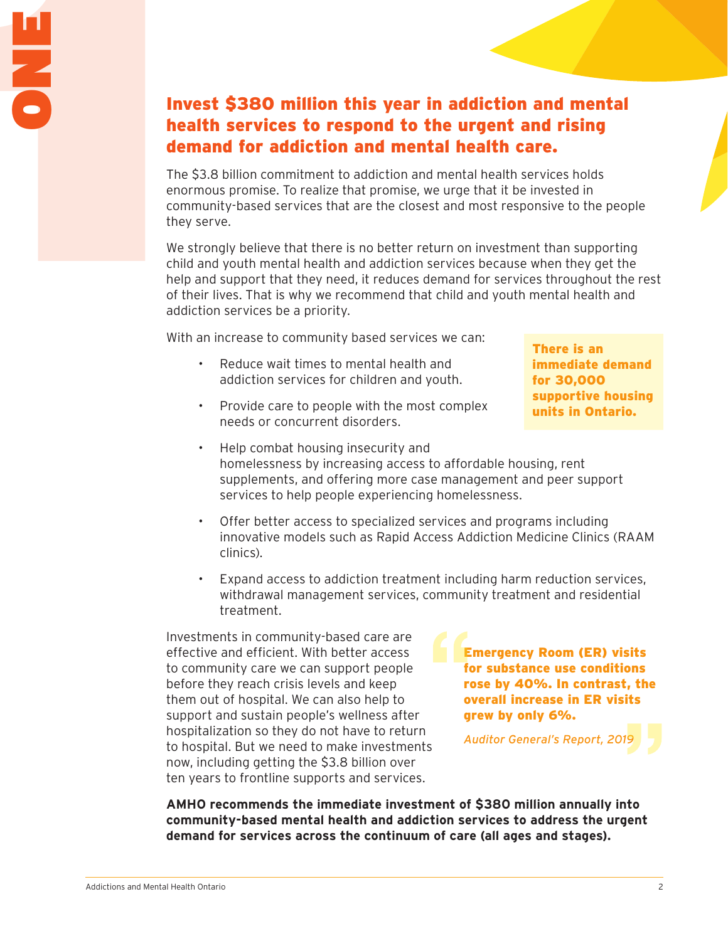### Invest \$380 million this year in addiction and mental health services to respond to the urgent and rising demand for addiction and mental health care.

The \$3.8 billion commitment to addiction and mental health services holds enormous promise. To realize that promise, we urge that it be invested in community-based services that are the closest and most responsive to the people they serve.

We strongly believe that there is no better return on investment than supporting child and youth mental health and addiction services because when they get the help and support that they need, it reduces demand for services throughout the rest of their lives. That is why we recommend that child and youth mental health and addiction services be a priority.

With an increase to community based services we can:

- Reduce wait times to mental health and addiction services for children and youth.
- Provide care to people with the most complex needs or concurrent disorders.
- There is an immediate demand for 30,000 supportive housing units in Ontario.
- Help combat housing insecurity and homelessness by increasing access to affordable housing, rent supplements, and offering more case management and peer support services to help people experiencing homelessness.
- Offer better access to specialized services and programs including innovative models such as Rapid Access Addiction Medicine Clinics (RAAM clinics).
- Expand access to addiction treatment including harm reduction services, withdrawal management services, community treatment and residential treatment.

Investments in community-based care are effective and efficient. With better access to community care we can support people before they reach crisis levels and keep them out of hospital. We can also help to support and sustain people's wellness after hospitalization so they do not have to return to hospital. But we need to make investments now, including getting the \$3.8 billion over ten years to frontline supports and services.

Emergency Room (ER) visits for substance use conditions rose by 40%. In contrast, the overall increase in ER visits grew by only 6%.

*Auditor General's Report, 2019*

**AMHO recommends the immediate investment of \$380 million annually into community-based mental health and addiction services to address the urgent demand for services across the continuum of care (all ages and stages).**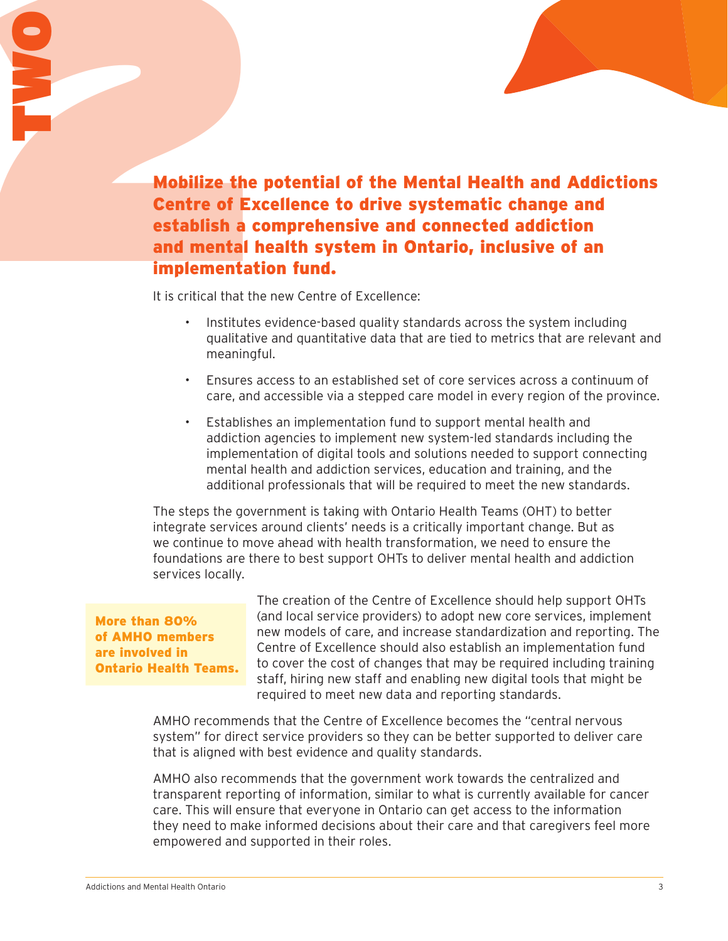Mobilize the potential of the Mental Health and Addictions Centre of Excellence to drive systematic change and establish a comprehensive and connected addiction and mental health system in Ontario, inclusive of an implementation fund. Mobilize the<br>Centre of E.<br>establish a<br>and mental<br>implementa<br>it is critical that t<br>is critical that t

It is critical that the new Centre of Excellence:

- Institutes evidence-based quality standards across the system including qualitative and quantitative data that are tied to metrics that are relevant and meaningful.
- Ensures access to an established set of core services across a continuum of care, and accessible via a stepped care model in every region of the province.
- Establishes an implementation fund to support mental health and addiction agencies to implement new system-led standards including the implementation of digital tools and solutions needed to support connecting mental health and addiction services, education and training, and the additional professionals that will be required to meet the new standards.

The steps the government is taking with Ontario Health Teams (OHT) to better integrate services around clients' needs is a critically important change. But as we continue to move ahead with health transformation, we need to ensure the foundations are there to best support OHTs to deliver mental health and addiction services locally.

More than 80% of AMHO members are involved in Ontario Health Teams.

The creation of the Centre of Excellence should help support OHTs (and local service providers) to adopt new core services, implement new models of care, and increase standardization and reporting. The Centre of Excellence should also establish an implementation fund to cover the cost of changes that may be required including training staff, hiring new staff and enabling new digital tools that might be required to meet new data and reporting standards.

AMHO recommends that the Centre of Excellence becomes the "central nervous system" for direct service providers so they can be better supported to deliver care that is aligned with best evidence and quality standards.

AMHO also recommends that the government work towards the centralized and transparent reporting of information, similar to what is currently available for cancer care. This will ensure that everyone in Ontario can get access to the information they need to make informed decisions about their care and that caregivers feel more empowered and supported in their roles.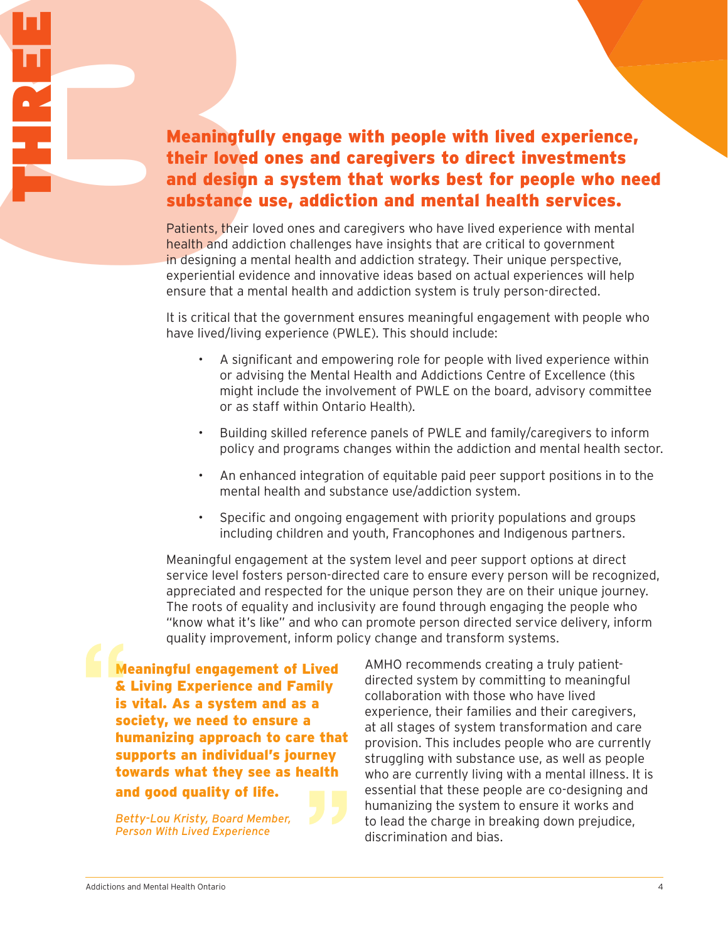# Meaningfu<br>
their love<br>
and design<br>
substance<br>
Patients, their<br>
Patients, their<br>
Patients, their<br>
Patients, their<br>
Patients and add<br>
in designing a<br>
experiential ev<br>
ensure that a Meaningfully engage with people with lived experience, their loved ones and caregivers to direct investments and design a system that works best for people who need substance use, addiction and mental health services.

Patients, their loved ones and caregivers who have lived experience with mental health and addiction challenges have insights that are critical to government in designing a mental health and addiction strategy. Their unique perspective, experiential evidence and innovative ideas based on actual experiences will help ensure that a mental health and addiction system is truly person-directed.

It is critical that the government ensures meaningful engagement with people who have lived/living experience (PWLE). This should include:

- A significant and empowering role for people with lived experience within or advising the Mental Health and Addictions Centre of Excellence (this might include the involvement of PWLE on the board, advisory committee or as staff within Ontario Health).
- Building skilled reference panels of PWLE and family/caregivers to inform policy and programs changes within the addiction and mental health sector.
- An enhanced integration of equitable paid peer support positions in to the mental health and substance use/addiction system.
- Specific and ongoing engagement with priority populations and groups including children and youth, Francophones and Indigenous partners.

Meaningful engagement at the system level and peer support options at direct service level fosters person-directed care to ensure every person will be recognized, appreciated and respected for the unique person they are on their unique journey. The roots of equality and inclusivity are found through engaging the people who "know what it's like" and who can promote person directed service delivery, inform quality improvement, inform policy change and transform systems.

Meaningful engagement of Lived & Living Experience and Family is vital. As a system and as a society, we need to ensure a humanizing approach to care that supports an individual's journey towards what they see as health and good quality of life.

*Betty-Lou Kristy, Board Member, Person With Lived Experience*

AMHO recommends creating a truly patientdirected system by committing to meaningful collaboration with those who have lived experience, their families and their caregivers, at all stages of system transformation and care provision. This includes people who are currently struggling with substance use, as well as people who are currently living with a mental illness. It is essential that these people are co-designing and humanizing the system to ensure it works and to lead the charge in breaking down prejudice, discrimination and bias.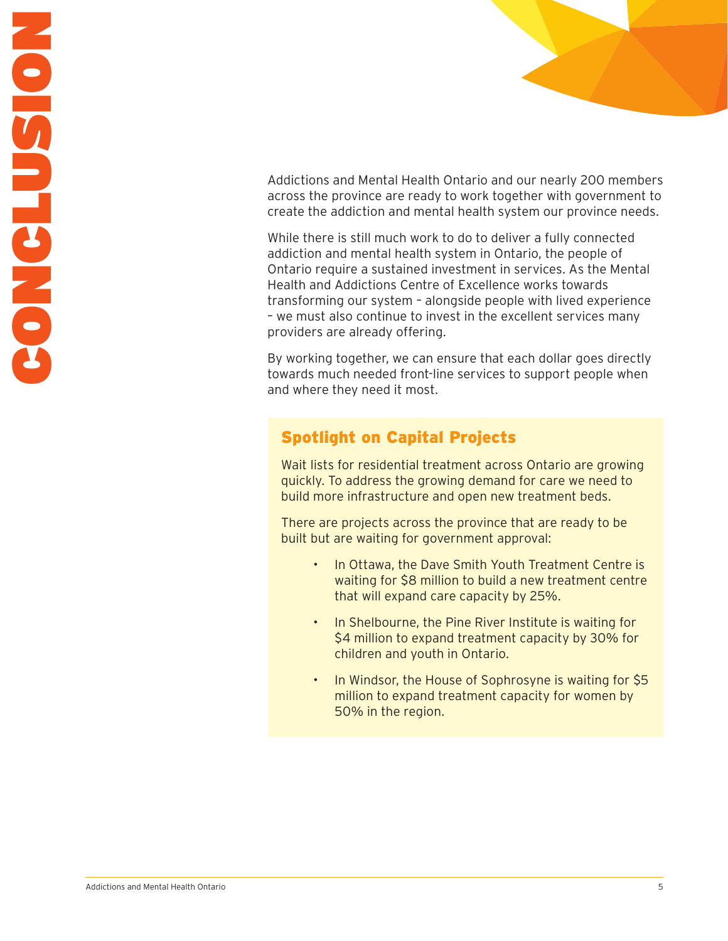Addictions and Mental Health Ontario and our nearly 200 members across the province are ready to work together with government to create the addiction and mental health system our province needs.

While there is still much work to do to deliver a fully connected addiction and mental health system in Ontario, the people of Ontario require a sustained investment in services. As the Mental Health and Addictions Centre of Excellence works towards transforming our system – alongside people with lived experience – we must also continue to invest in the excellent services many providers are already offering.

By working together, we can ensure that each dollar goes directly towards much needed front-line services to support people when and where they need it most.

### Spotlight on Capital Projects

Wait lists for residential treatment across Ontario are growing quickly. To address the growing demand for care we need to build more infrastructure and open new treatment beds.

There are projects across the province that are ready to be built but are waiting for government approval:

- In Ottawa, the Dave Smith Youth Treatment Centre is waiting for \$8 million to build a new treatment centre that will expand care capacity by 25%.
- In Shelbourne, the Pine River Institute is waiting for \$4 million to expand treatment capacity by 30% for children and youth in Ontario.
- In Windsor, the House of Sophrosyne is waiting for \$5 million to expand treatment capacity for women by 50% in the region.